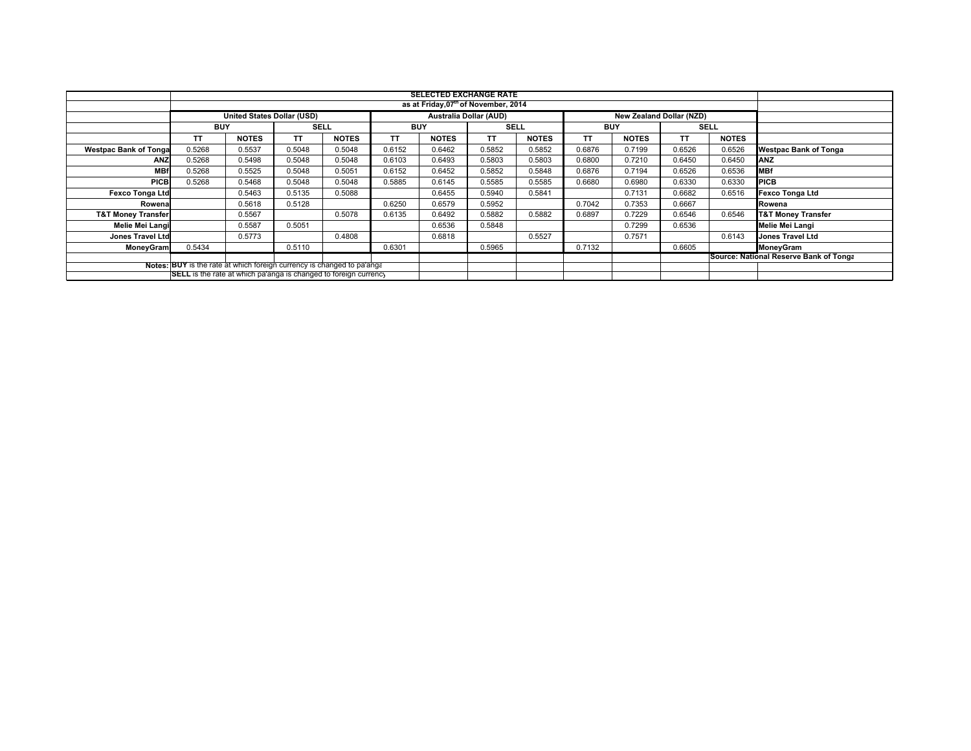|                                                                        | <b>SELECTED EXCHANGE RATE</b><br>as at Friday, 07 <sup>th</sup> of November, 2014 |              |             |              |            |              |             |              |            |                                        |             |              |                               |
|------------------------------------------------------------------------|-----------------------------------------------------------------------------------|--------------|-------------|--------------|------------|--------------|-------------|--------------|------------|----------------------------------------|-------------|--------------|-------------------------------|
|                                                                        |                                                                                   |              |             |              |            |              |             |              |            |                                        |             |              |                               |
|                                                                        | Australia Dollar (AUD)<br>United States Dollar (USD)<br>New Zealand Dollar (NZD)  |              |             |              |            |              |             |              |            |                                        |             |              |                               |
|                                                                        | <b>BUY</b>                                                                        |              | <b>SELL</b> |              | <b>BUY</b> |              | <b>SELL</b> |              | <b>BUY</b> |                                        | <b>SELL</b> |              |                               |
|                                                                        | TT                                                                                | <b>NOTES</b> | TΤ          | <b>NOTES</b> | TΤ         | <b>NOTES</b> | TΤ          | <b>NOTES</b> | TΤ         | <b>NOTES</b>                           | TΤ          | <b>NOTES</b> |                               |
| <b>Westpac Bank of Tonga</b>                                           | 0.5268                                                                            | 0.5537       | 0.5048      | 0.5048       | 0.6152     | 0.6462       | 0.5852      | 0.5852       | 0.6876     | 0.7199                                 | 0.6526      | 0.6526       | <b>Westpac Bank of Tonga</b>  |
| <b>ANZ</b>                                                             | 0.5268                                                                            | 0.5498       | 0.5048      | 0.5048       | 0.6103     | 0.6493       | 0.5803      | 0.5803       | 0.6800     | 0.7210                                 | 0.6450      | 0.6450       | <b>ANZ</b>                    |
| <b>MBf</b>                                                             | 0.5268                                                                            | 0.5525       | 0.5048      | 0.5051       | 0.6152     | 0.6452       | 0.5852      | 0.5848       | 0.6876     | 0.7194                                 | 0.6526      | 0.6536       | <b>MBf</b>                    |
| <b>PICB</b>                                                            | 0.5268                                                                            | 0.5468       | 0.5048      | 0.5048       | 0.5885     | 0.6145       | 0.5585      | 0.5585       | 0.6680     | 0.6980                                 | 0.6330      | 0.6330       | <b>PICB</b>                   |
| <b>Fexco Tonga Ltd</b>                                                 |                                                                                   | 0.5463       | 0.5135      | 0.5088       |            | 0.6455       | 0.5940      | 0.5841       |            | 0.7131                                 | 0.6682      | 0.6516       | <b>Fexco Tonga Ltd</b>        |
| Rowena                                                                 |                                                                                   | 0.5618       | 0.5128      |              | 0.6250     | 0.6579       | 0.5952      |              | 0.7042     | 0.7353                                 | 0.6667      |              | Rowena                        |
| <b>T&amp;T Money Transfer</b>                                          |                                                                                   | 0.5567       |             | 0.5078       | 0.6135     | 0.6492       | 0.5882      | 0.5882       | 0.6897     | 0.7229                                 | 0.6546      | 0.6546       | <b>T&amp;T Money Transfer</b> |
| Melie Mei Langi                                                        |                                                                                   | 0.5587       | 0.5051      |              |            | 0.6536       | 0.5848      |              |            | 0.7299                                 | 0.6536      |              | Melie Mei Langi               |
| <b>Jones Travel Ltd</b>                                                |                                                                                   | 0.5773       |             | 0.4808       |            | 0.6818       |             | 0.5527       |            | 0.7571                                 |             | 0.6143       | <b>Jones Travel Ltd</b>       |
| <b>MoneyGram</b>                                                       | 0.5434                                                                            |              | 0.5110      |              | 0.6301     |              | 0.5965      |              | 0.7132     |                                        | 0.6605      |              | MoneyGram                     |
|                                                                        |                                                                                   |              |             |              |            |              |             |              |            | Source: National Reserve Bank of Tonga |             |              |                               |
| Notes: BUY is the rate at which foreign currency is changed to pa'anga |                                                                                   |              |             |              |            |              |             |              |            |                                        |             |              |                               |
|                                                                        | <b>SELL</b> is the rate at which pa'anga is changed to foreign currency           |              |             |              |            |              |             |              |            |                                        |             |              |                               |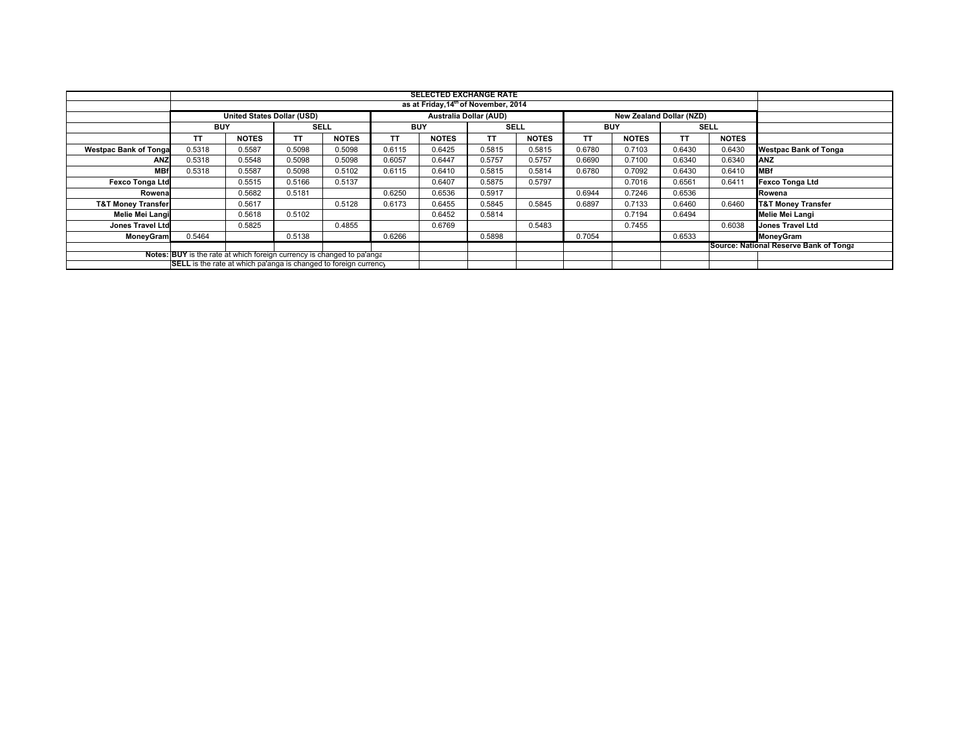|                                                                         | <b>SELECTED EXCHANGE RATE</b>                                                                         |              |             |              |            |                                                  |             |              |            |              |        |              |                                        |
|-------------------------------------------------------------------------|-------------------------------------------------------------------------------------------------------|--------------|-------------|--------------|------------|--------------------------------------------------|-------------|--------------|------------|--------------|--------|--------------|----------------------------------------|
|                                                                         |                                                                                                       |              |             |              |            | as at Friday, 14 <sup>th</sup> of November, 2014 |             |              |            |              |        |              |                                        |
|                                                                         | <b>United States Dollar (USD)</b><br><b>Australia Dollar (AUD)</b><br><b>New Zealand Dollar (NZD)</b> |              |             |              |            |                                                  |             |              |            |              |        |              |                                        |
|                                                                         | <b>BUY</b>                                                                                            |              | <b>SELL</b> |              | <b>BUY</b> |                                                  | <b>SELL</b> |              | <b>BUY</b> |              |        | <b>SELL</b>  |                                        |
|                                                                         | TΤ                                                                                                    | <b>NOTES</b> | TΤ          | <b>NOTES</b> | TΤ         | <b>NOTES</b>                                     | TΤ          | <b>NOTES</b> | TT         | <b>NOTES</b> | TΤ     | <b>NOTES</b> |                                        |
| <b>Westpac Bank of Tonga</b>                                            | 0.5318                                                                                                | 0.5587       | 0.5098      | 0.5098       | 0.6115     | 0.6425                                           | 0.5815      | 0.5815       | 0.6780     | 0.7103       | 0.6430 | 0.6430       | <b>Westpac Bank of Tonga</b>           |
| <b>ANZ</b>                                                              | 0.5318                                                                                                | 0.5548       | 0.5098      | 0.5098       | 0.6057     | 0.6447                                           | 0.5757      | 0.5757       | 0.6690     | 0.7100       | 0.6340 | 0.6340       | <b>ANZ</b>                             |
| <b>MBf</b>                                                              | 0.5318                                                                                                | 0.5587       | 0.5098      | 0.5102       | 0.6115     | 0.6410                                           | 0.5815      | 0.5814       | 0.6780     | 0.7092       | 0.6430 | 0.6410       | <b>MBf</b>                             |
| <b>Fexco Tonga Ltd</b>                                                  |                                                                                                       | 0.5515       | 0.5166      | 0.5137       |            | 0.6407                                           | 0.5875      | 0.5797       |            | 0.7016       | 0.6561 | 0.641'       | <b>Fexco Tonga Ltd</b>                 |
| Rowena                                                                  |                                                                                                       | 0.5682       | 0.5181      |              | 0.6250     | 0.6536                                           | 0.5917      |              | 0.6944     | 0.7246       | 0.6536 |              | Rowena                                 |
| <b>T&amp;T Money Transfer</b>                                           |                                                                                                       | 0.5617       |             | 0.5128       | 0.6173     | 0.6455                                           | 0.5845      | 0.5845       | 0.6897     | 0.7133       | 0.6460 | 0.6460       | <b>T&amp;T Money Transfer</b>          |
| Melie Mei Langi                                                         |                                                                                                       | 0.5618       | 0.5102      |              |            | 0.6452                                           | 0.5814      |              |            | 0.7194       | 0.6494 |              | Melie Mei Langi                        |
| <b>Jones Travel Ltd</b>                                                 |                                                                                                       | 0.5825       |             | 0.4855       |            | 0.6769                                           |             | 0.5483       |            | 0.7455       |        | 0.6038       | <b>Jones Travel Ltd</b>                |
| <b>MoneyGram</b>                                                        | 0.5464                                                                                                |              | 0.5138      |              | 0.6266     |                                                  | 0.5898      |              | 0.7054     |              | 0.6533 |              | MoneyGram                              |
|                                                                         |                                                                                                       |              |             |              |            |                                                  |             |              |            |              |        |              | Source: National Reserve Bank of Tonga |
|                                                                         | Notes: BUY is the rate at which foreign currency is changed to pa'anga                                |              |             |              |            |                                                  |             |              |            |              |        |              |                                        |
| <b>SELL</b> is the rate at which pa'anga is changed to foreign currency |                                                                                                       |              |             |              |            |                                                  |             |              |            |              |        |              |                                        |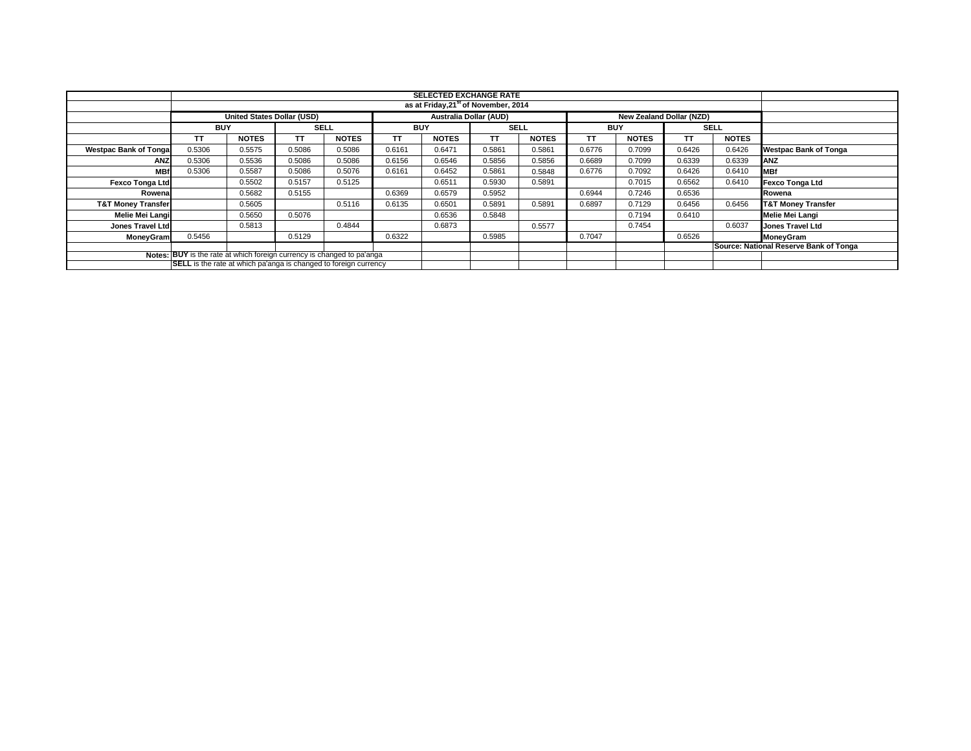|                               | <b>SELECTED EXCHANGE RATE</b><br>as at Friday, 21 <sup>st</sup> of November, 2014 |              |        |              |        |              |        |                           |                                                                  |              |             |              |                                        |  |  |  |  |  |  |  |
|-------------------------------|-----------------------------------------------------------------------------------|--------------|--------|--------------|--------|--------------|--------|---------------------------|------------------------------------------------------------------|--------------|-------------|--------------|----------------------------------------|--|--|--|--|--|--|--|
|                               |                                                                                   |              |        |              |        |              |        |                           |                                                                  |              |             |              |                                        |  |  |  |  |  |  |  |
|                               | Australia Dollar (AUD)<br>United States Dollar (USD)<br>New Zealand Dollar (NZD)  |              |        |              |        |              |        |                           |                                                                  |              |             |              |                                        |  |  |  |  |  |  |  |
|                               | <b>BUY</b>                                                                        |              |        | SELL         |        | <b>BUY</b>   |        | <b>SELL</b><br><b>BUY</b> |                                                                  |              | <b>SELL</b> |              |                                        |  |  |  |  |  |  |  |
|                               | <b>TT</b>                                                                         | <b>NOTES</b> | TТ     | <b>NOTES</b> | ΤT     | <b>NOTES</b> | TΤ     | <b>NOTES</b>              | TΤ                                                               | <b>NOTES</b> | TΤ          | <b>NOTES</b> |                                        |  |  |  |  |  |  |  |
| <b>Westpac Bank of Tongal</b> | 0.5306                                                                            | 0.5575       | 0.5086 | 0.5086       | 0.6161 | 0.6471       | 0.5861 | 0.5861                    | 0.6776                                                           | 0.7099       | 0.6426      | 0.6426       | <b>Westpac Bank of Tonga</b>           |  |  |  |  |  |  |  |
| <b>ANZ</b>                    | 0.5306                                                                            | 0.5536       | 0.5086 | 0.5086       | 0.6156 | 0.6546       | 0.5856 | 0.5856                    | 0.6689                                                           | 0.7099       | 0.6339      | 0.6339       | <b>ANZ</b>                             |  |  |  |  |  |  |  |
| <b>MBf</b>                    | 0.5306                                                                            | 0.5587       | 0.5086 | 0.5076       | 0.6161 | 0.6452       | 0.5861 | 0.5848                    | 0.6776                                                           | 0.7092       | 0.6426      | 0.6410       | <b>MBf</b>                             |  |  |  |  |  |  |  |
| <b>Fexco Tonga Ltd</b>        |                                                                                   | 0.5502       | 0.5157 | 0.5125       |        | 0.6511       | 0.5930 | 0.5891                    |                                                                  | 0.7015       | 0.6562      | 0.6410       | <b>Fexco Tonga Ltd</b>                 |  |  |  |  |  |  |  |
| Rowenal                       |                                                                                   | 0.5682       | 0.5155 |              | 0.6369 | 0.6579       | 0.5952 |                           | 0.6944                                                           | 0.7246       | 0.6536      |              | Rowena                                 |  |  |  |  |  |  |  |
| <b>T&amp;T Money Transfer</b> |                                                                                   | 0.5605       |        | 0.5116       | 0.6135 | 0.6501       | 0.5891 | 0.5891                    | 0.6897                                                           | 0.7129       | 0.6456      | 0.6456       | <b>T&amp;T Money Transfer</b>          |  |  |  |  |  |  |  |
| Melie Mei Langi               |                                                                                   | 0.5650       | 0.5076 |              |        | 0.6536       | 0.5848 |                           |                                                                  | 0.7194       | 0.6410      |              | Melie Mei Langi                        |  |  |  |  |  |  |  |
| Jones Travel Ltd              |                                                                                   | 0.5813       |        | 0.4844       |        | 0.6873       |        | 0.5577                    |                                                                  | 0.7454       |             | 0.6037       | Jones Travel Ltd                       |  |  |  |  |  |  |  |
| <b>MoneyGram</b>              | 0.5456                                                                            |              | 0.5129 |              | 0.6322 |              | 0.5985 |                           | 0.7047                                                           |              | 0.6526      |              | <b>MoneyGram</b>                       |  |  |  |  |  |  |  |
|                               |                                                                                   |              |        |              |        |              |        |                           |                                                                  |              |             |              | Source: National Reserve Bank of Tonga |  |  |  |  |  |  |  |
|                               | Notes: BUY is the rate at which foreign currency is changed to pa'anga            |              |        |              |        |              |        |                           |                                                                  |              |             |              |                                        |  |  |  |  |  |  |  |
|                               |                                                                                   |              |        |              |        |              |        |                           | SELL is the rate at which pa'anga is changed to foreign currency |              |             |              |                                        |  |  |  |  |  |  |  |